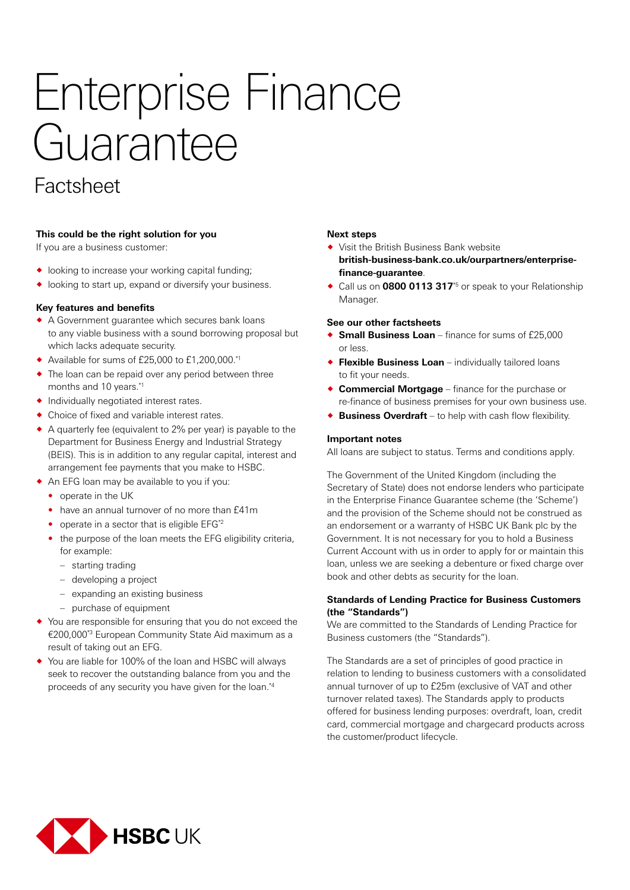# Enterprise Finance Guarantee

## Factsheet

#### **This could be the right solution for you**

If you are a business customer:

- $\bullet$  looking to increase your working capital funding;
- ® looking to start up, expand or diversify your business.

#### **Key features and benefits**

- ® A Government guarantee which secures bank loans to any viable business with a sound borrowing proposal but which lacks adequate security.
- $\blacklozenge$  Available for sums of £25,000 to £1,200,000.\*1
- $\bullet$  The loan can be repaid over any period between three months and 10 years.\*1
- ® Individually negotiated interest rates.
- ® Choice of fixed and variable interest rates.
- $\bullet$  A quarterly fee (equivalent to 2% per year) is payable to the Department for Business Energy and Industrial Strategy (BEIS). This is in addition to any regular capital, interest and arrangement fee payments that you make to HSBC.
- ® An EFG loan may be available to you if you:
	- operate in the UK
	- have an annual turnover of no more than £41m
	- operate in a sector that is eligible EFG\*2
	- the purpose of the loan meets the EFG eligibility criteria, for example:
		- starting trading
		- developing a project
		- expanding an existing business
		- purchase of equipment
- ® You are responsible for ensuring that you do not exceed the €200,000\*3 European Community State Aid maximum as a result of taking out an EFG.
- ® You are liable for 100% of the loan and HSBC will always seek to recover the outstanding balance from you and the proceeds of any security you have given for the loan.\*4

#### **Next steps**

- ® Visit the British Business Bank website **british-business-bank.co.uk/ourpartners/enterprisefinance-guarantee**.
- ◆ Call us on **0800 0113 317**<sup>\*5</sup> or speak to your Relationship Manager.

#### **See our other factsheets**

- ◆ **Small Business Loan** finance for sums of £25,000 or less.
- ® **Flexible Business Loan** individually tailored loans to fit your needs.
- ® **Commercial Mortgage** finance for the purchase or re-finance of business premises for your own business use.
- ® **Business Overdraft** to help with cash flow flexibility.

#### **Important notes**

All loans are subject to status. Terms and conditions apply.

The Government of the United Kingdom (including the Secretary of State) does not endorse lenders who participate in the Enterprise Finance Guarantee scheme (the 'Scheme') and the provision of the Scheme should not be construed as an endorsement or a warranty of HSBC UK Bank plc by the Government. It is not necessary for you to hold a Business Current Account with us in order to apply for or maintain this loan, unless we are seeking a debenture or fixed charge over book and other debts as security for the loan.

#### **Standards of Lending Practice for Business Customers (the "Standards")**

We are committed to the Standards of Lending Practice for Business customers (the "Standards").

The Standards are a set of principles of good practice in relation to lending to business customers with a consolidated annual turnover of up to £25m (exclusive of VAT and other turnover related taxes). The Standards apply to products offered for business lending purposes: overdraft, loan, credit card, commercial mortgage and chargecard products across the customer/product lifecycle.